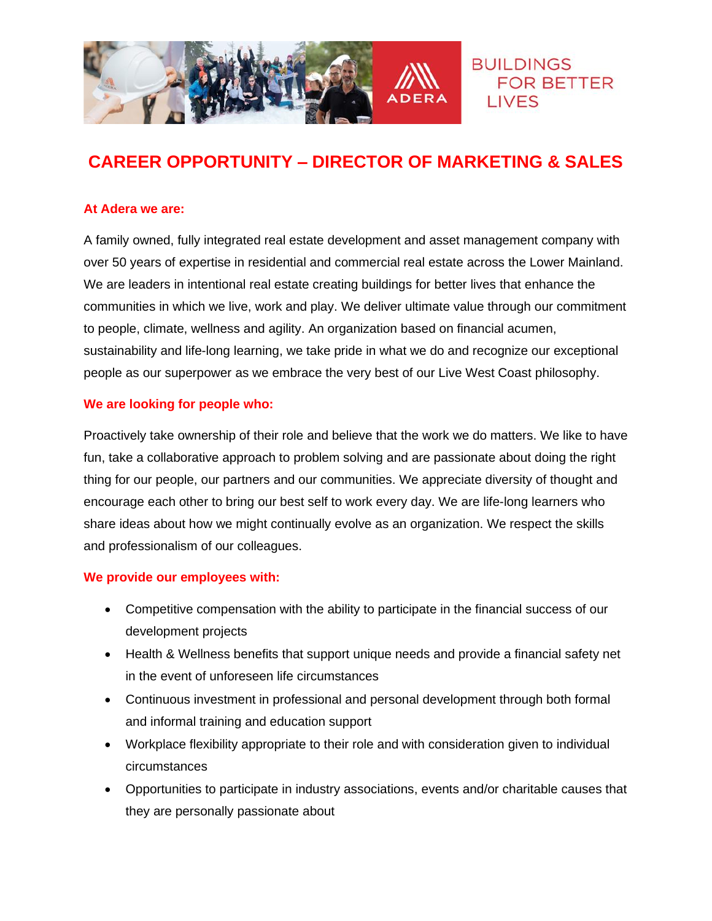

# **CAREER OPPORTUNITY – DIRECTOR OF MARKETING & SALES**

#### **At Adera we are:**

A family owned, fully integrated real estate development and asset management company with over 50 years of expertise in residential and commercial real estate across the Lower Mainland. We are leaders in intentional real estate creating buildings for better lives that enhance the communities in which we live, work and play. We deliver ultimate value through our commitment to people, climate, wellness and agility. An organization based on financial acumen, sustainability and life-long learning, we take pride in what we do and recognize our exceptional people as our superpower as we embrace the very best of our Live West Coast philosophy.

#### **We are looking for people who:**

Proactively take ownership of their role and believe that the work we do matters. We like to have fun, take a collaborative approach to problem solving and are passionate about doing the right thing for our people, our partners and our communities. We appreciate diversity of thought and encourage each other to bring our best self to work every day. We are life-long learners who share ideas about how we might continually evolve as an organization. We respect the skills and professionalism of our colleagues.

#### **We provide our employees with:**

- Competitive compensation with the ability to participate in the financial success of our development projects
- Health & Wellness benefits that support unique needs and provide a financial safety net in the event of unforeseen life circumstances
- Continuous investment in professional and personal development through both formal and informal training and education support
- Workplace flexibility appropriate to their role and with consideration given to individual circumstances
- Opportunities to participate in industry associations, events and/or charitable causes that they are personally passionate about